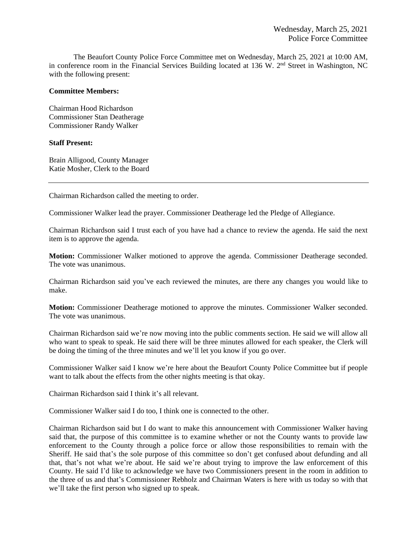The Beaufort County Police Force Committee met on Wednesday, March 25, 2021 at 10:00 AM, in conference room in the Financial Services Building located at 136 W. 2<sup>nd</sup> Street in Washington, NC with the following present:

#### **Committee Members:**

Chairman Hood Richardson Commissioner Stan Deatherage Commissioner Randy Walker

#### **Staff Present:**

Brain Alligood, County Manager Katie Mosher, Clerk to the Board

Chairman Richardson called the meeting to order.

Commissioner Walker lead the prayer. Commissioner Deatherage led the Pledge of Allegiance.

Chairman Richardson said I trust each of you have had a chance to review the agenda. He said the next item is to approve the agenda.

**Motion:** Commissioner Walker motioned to approve the agenda. Commissioner Deatherage seconded. The vote was unanimous.

Chairman Richardson said you've each reviewed the minutes, are there any changes you would like to make.

**Motion:** Commissioner Deatherage motioned to approve the minutes. Commissioner Walker seconded. The vote was unanimous.

Chairman Richardson said we're now moving into the public comments section. He said we will allow all who want to speak to speak. He said there will be three minutes allowed for each speaker, the Clerk will be doing the timing of the three minutes and we'll let you know if you go over.

Commissioner Walker said I know we're here about the Beaufort County Police Committee but if people want to talk about the effects from the other nights meeting is that okay.

Chairman Richardson said I think it's all relevant.

Commissioner Walker said I do too, I think one is connected to the other.

Chairman Richardson said but I do want to make this announcement with Commissioner Walker having said that, the purpose of this committee is to examine whether or not the County wants to provide law enforcement to the County through a police force or allow those responsibilities to remain with the Sheriff. He said that's the sole purpose of this committee so don't get confused about defunding and all that, that's not what we're about. He said we're about trying to improve the law enforcement of this County. He said I'd like to acknowledge we have two Commissioners present in the room in addition to the three of us and that's Commissioner Rebholz and Chairman Waters is here with us today so with that we'll take the first person who signed up to speak.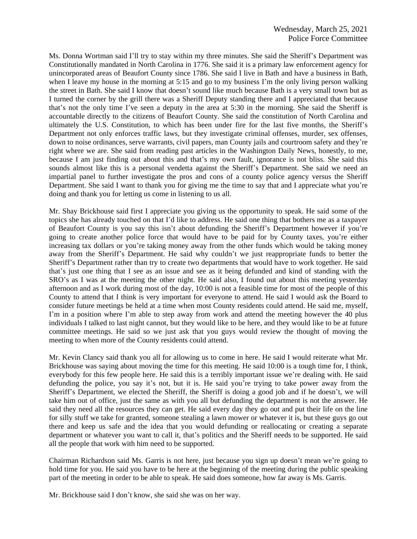Ms. Donna Wortman said I'll try to stay within my three minutes. She said the Sheriff's Department was Constitutionally mandated in North Carolina in 1776. She said it is a primary law enforcement agency for unincorporated areas of Beaufort County since 1786. She said I live in Bath and have a business in Bath, when I leave my house in the morning at 5:15 and go to my business I'm the only living person walking the street in Bath. She said I know that doesn't sound like much because Bath is a very small town but as I turned the corner by the grill there was a Sheriff Deputy standing there and I appreciated that because that's not the only time I've seen a deputy in the area at 5:30 in the morning. She said the Sheriff is accountable directly to the citizens of Beaufort County. She said the constitution of North Carolina and ultimately the U.S. Constitution, to which has been under fire for the last five months, the Sheriff's Department not only enforces traffic laws, but they investigate criminal offenses, murder, sex offenses, down to noise ordinances, serve warrants, civil papers, man County jails and courtroom safety and they're right where we are. She said from reading past articles in the Washington Daily News, honestly, to me, because I am just finding out about this and that's my own fault, ignorance is not bliss. She said this sounds almost like this is a personal vendetta against the Sheriff's Department. She said we need an impartial panel to further investigate the pros and cons of a county police agency versus the Sheriff Department. She said I want to thank you for giving me the time to say that and I appreciate what you're doing and thank you for letting us come in listening to us all.

Mr. Shay Brickhouse said first I appreciate you giving us the opportunity to speak. He said some of the topics she has already touched on that I'd like to address. He said one thing that bothers me as a taxpayer of Beaufort County is you say this isn't about defunding the Sheriff's Department however if you're going to create another police force that would have to be paid for by County taxes, you're either increasing tax dollars or you're taking money away from the other funds which would be taking money away from the Sheriff's Department. He said why couldn't we just reappropriate funds to better the Sheriff's Department rather than try to create two departments that would have to work together. He said that's just one thing that I see as an issue and see as it being defunded and kind of standing with the SRO's as I was at the meeting the other night. He said also, I found out about this meeting yesterday afternoon and as I work during most of the day, 10:00 is not a feasible time for most of the people of this County to attend that I think is very important for everyone to attend. He said I would ask the Board to consider future meetings be held at a time when most County residents could attend. He said me, myself, I'm in a position where I'm able to step away from work and attend the meeting however the 40 plus individuals I talked to last night cannot, but they would like to be here, and they would like to be at future committee meetings. He said so we just ask that you guys would review the thought of moving the meeting to when more of the County residents could attend.

Mr. Kevin Clancy said thank you all for allowing us to come in here. He said I would reiterate what Mr. Brickhouse was saying about moving the time for this meeting. He said 10:00 is a tough time for, I think, everybody for this few people here. He said this is a terribly important issue we're dealing with. He said defunding the police, you say it's not, but it is. He said you're trying to take power away from the Sheriff's Department, we elected the Sheriff, the Sheriff is doing a good job and if he doesn't, we will take him out of office, just the same as with you all but defunding the department is not the answer. He said they need all the resources they can get. He said every day they go out and put their life on the line for silly stuff we take for granted, someone stealing a lawn mower or whatever it is, but these guys go out there and keep us safe and the idea that you would defunding or reallocating or creating a separate department or whatever you want to call it, that's politics and the Sheriff needs to be supported. He said all the people that work with him need to be supported.

Chairman Richardson said Ms. Garris is not here, just because you sign up doesn't mean we're going to hold time for you. He said you have to be here at the beginning of the meeting during the public speaking part of the meeting in order to be able to speak. He said does someone, how far away is Ms. Garris.

Mr. Brickhouse said I don't know, she said she was on her way.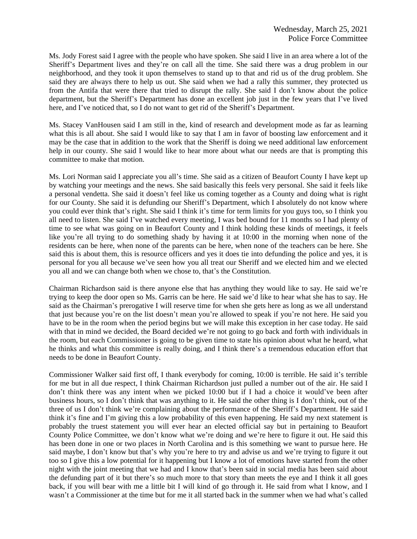Ms. Jody Forest said I agree with the people who have spoken. She said I live in an area where a lot of the Sheriff's Department lives and they're on call all the time. She said there was a drug problem in our neighborhood, and they took it upon themselves to stand up to that and rid us of the drug problem. She said they are always there to help us out. She said when we had a rally this summer, they protected us from the Antifa that were there that tried to disrupt the rally. She said I don't know about the police department, but the Sheriff's Department has done an excellent job just in the few years that I've lived here, and I've noticed that, so I do not want to get rid of the Sheriff's Department.

Ms. Stacey VanHousen said I am still in the, kind of research and development mode as far as learning what this is all about. She said I would like to say that I am in favor of boosting law enforcement and it may be the case that in addition to the work that the Sheriff is doing we need additional law enforcement help in our county. She said I would like to hear more about what our needs are that is prompting this committee to make that motion.

Ms. Lori Norman said I appreciate you all's time. She said as a citizen of Beaufort County I have kept up by watching your meetings and the news. She said basically this feels very personal. She said it feels like a personal vendetta. She said it doesn't feel like us coming together as a County and doing what is right for our County. She said it is defunding our Sheriff's Department, which I absolutely do not know where you could ever think that's right. She said I think it's time for term limits for you guys too, so I think you all need to listen. She said I've watched every meeting, I was bed bound for 11 months so I had plenty of time to see what was going on in Beaufort County and I think holding these kinds of meetings, it feels like you're all trying to do something shady by having it at 10:00 in the morning when none of the residents can be here, when none of the parents can be here, when none of the teachers can be here. She said this is about them, this is resource officers and yes it does tie into defunding the police and yes, it is personal for you all because we've seen how you all treat our Sheriff and we elected him and we elected you all and we can change both when we chose to, that's the Constitution.

Chairman Richardson said is there anyone else that has anything they would like to say. He said we're trying to keep the door open so Ms. Garris can be here. He said we'd like to hear what she has to say. He said as the Chairman's prerogative I will reserve time for when she gets here as long as we all understand that just because you're on the list doesn't mean you're allowed to speak if you're not here. He said you have to be in the room when the period begins but we will make this exception in her case today. He said with that in mind we decided, the Board decided we're not going to go back and forth with individuals in the room, but each Commissioner is going to be given time to state his opinion about what he heard, what he thinks and what this committee is really doing, and I think there's a tremendous education effort that needs to be done in Beaufort County.

Commissioner Walker said first off, I thank everybody for coming, 10:00 is terrible. He said it's terrible for me but in all due respect, I think Chairman Richardson just pulled a number out of the air. He said I don't think there was any intent when we picked 10:00 but if I had a choice it would've been after business hours, so I don't think that was anything to it. He said the other thing is I don't think, out of the three of us I don't think we're complaining about the performance of the Sheriff's Department. He said I think it's fine and I'm giving this a low probability of this even happening. He said my next statement is probably the truest statement you will ever hear an elected official say but in pertaining to Beaufort County Police Committee, we don't know what we're doing and we're here to figure it out. He said this has been done in one or two places in North Carolina and is this something we want to pursue here. He said maybe, I don't know but that's why you're here to try and advise us and we're trying to figure it out too so I give this a low potential for it happening but I know a lot of emotions have started from the other night with the joint meeting that we had and I know that's been said in social media has been said about the defunding part of it but there's so much more to that story than meets the eye and I think it all goes back, if you will bear with me a little bit I will kind of go through it. He said from what I know, and I wasn't a Commissioner at the time but for me it all started back in the summer when we had what's called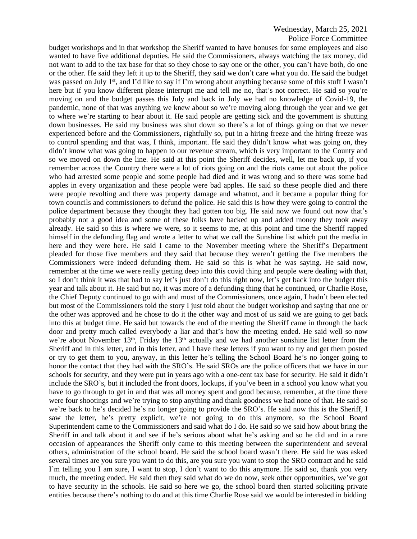### Police Force Committee

budget workshops and in that workshop the Sheriff wanted to have bonuses for some employees and also wanted to have five additional deputies. He said the Commissioners, always watching the tax money, did not want to add to the tax base for that so they chose to say one or the other, you can't have both, do one or the other. He said they left it up to the Sheriff, they said we don't care what you do. He said the budget was passed on July 1<sup>st</sup>, and I'd like to say if I'm wrong about anything because some of this stuff I wasn't here but if you know different please interrupt me and tell me no, that's not correct. He said so you're moving on and the budget passes this July and back in July we had no knowledge of Covid-19, the pandemic, none of that was anything we knew about so we're moving along through the year and we get to where we're starting to hear about it. He said people are getting sick and the government is shutting down businesses. He said my business was shut down so there's a lot of things going on that we never experienced before and the Commissioners, rightfully so, put in a hiring freeze and the hiring freeze was to control spending and that was, I think, important. He said they didn't know what was going on, they didn't know what was going to happen to our revenue stream, which is very important to the County and so we moved on down the line. He said at this point the Sheriff decides, well, let me back up, if you remember across the Country there were a lot of riots going on and the riots came out about the police who had arrested some people and some people had died and it was wrong and so there was some bad apples in every organization and these people were bad apples. He said so these people died and there were people revolting and there was property damage and whatnot, and it became a popular thing for town councils and commissioners to defund the police. He said this is how they were going to control the police department because they thought they had gotten too big. He said now we found out now that's probably not a good idea and some of these folks have backed up and added money they took away already. He said so this is where we were, so it seems to me, at this point and time the Sheriff rapped himself in the defunding flag and wrote a letter to what we call the Sunshine list which put the media in here and they were here. He said I came to the November meeting where the Sheriff's Department pleaded for those five members and they said that because they weren't getting the five members the Commissioners were indeed defunding them. He said so this is what he was saying. He said now, remember at the time we were really getting deep into this covid thing and people were dealing with that, so I don't think it was that bad to say let's just don't do this right now, let's get back into the budget this year and talk about it. He said but no, it was more of a defunding thing that he continued, or Charlie Rose, the Chief Deputy continued to go with and most of the Commissioners, once again, I hadn't been elected but most of the Commissioners told the story I just told about the budget workshop and saying that one or the other was approved and he chose to do it the other way and most of us said we are going to get back into this at budget time. He said but towards the end of the meeting the Sheriff came in through the back door and pretty much called everybody a liar and that's how the meeting ended. He said well so now we're about November 13<sup>th</sup>, Friday the 13<sup>th</sup> actually and we had another sunshine list letter from the Sheriff and in this letter, and in this letter, and I have these letters if you want to try and get them posted or try to get them to you, anyway, in this letter he's telling the School Board he's no longer going to honor the contact that they had with the SRO's. He said SROs are the police officers that we have in our schools for security, and they were put in years ago with a one-cent tax base for security. He said it didn't include the SRO's, but it included the front doors, lockups, if you've been in a school you know what you have to go through to get in and that was all money spent and good because, remember, at the time there were four shootings and we're trying to stop anything and thank goodness we had none of that. He said so we're back to he's decided he's no longer going to provide the SRO's. He said now this is the Sheriff, I saw the letter, he's pretty explicit, we're not going to do this anymore, so the School Board Superintendent came to the Commissioners and said what do I do. He said so we said how about bring the Sheriff in and talk about it and see if he's serious about what he's asking and so he did and in a rare occasion of appearances the Sheriff only came to this meeting between the superintendent and several others, administration of the school board. He said the school board wasn't there. He said he was asked several times are you sure you want to do this, are you sure you want to stop the SRO contract and he said I'm telling you I am sure, I want to stop, I don't want to do this anymore. He said so, thank you very much, the meeting ended. He said then they said what do we do now, seek other opportunities, we've got to have security in the schools. He said so here we go, the school board then started soliciting private entities because there's nothing to do and at this time Charlie Rose said we would be interested in bidding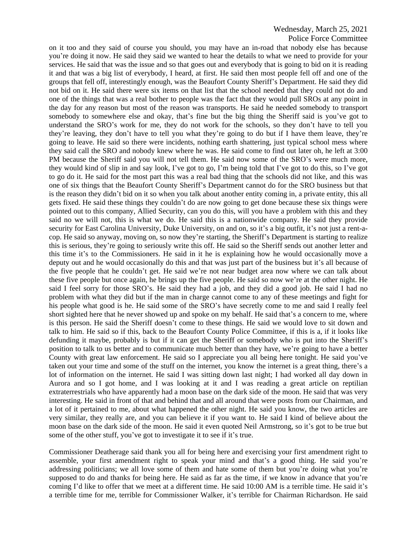#### Police Force Committee

on it too and they said of course you should, you may have an in-road that nobody else has because you're doing it now. He said they said we wanted to hear the details to what we need to provide for your services. He said that was the issue and so that goes out and everybody that is going to bid on it is reading it and that was a big list of everybody, I heard, at first. He said then most people fell off and one of the groups that fell off, interestingly enough, was the Beaufort County Sheriff's Department. He said they did not bid on it. He said there were six items on that list that the school needed that they could not do and one of the things that was a real bother to people was the fact that they would pull SROs at any point in the day for any reason but most of the reason was transports. He said he needed somebody to transport somebody to somewhere else and okay, that's fine but the big thing the Sheriff said is you've got to understand the SRO's work for me, they do not work for the schools, so they don't have to tell you they're leaving, they don't have to tell you what they're going to do but if I have them leave, they're going to leave. He said so there were incidents, nothing earth shattering, just typical school mess where they said call the SRO and nobody knew where he was. He said come to find out later oh, he left at 3:00 PM because the Sheriff said you will not tell them. He said now some of the SRO's were much more, they would kind of slip in and say look, I've got to go, I'm being told that I've got to do this, so I've got to go do it. He said for the most part this was a real bad thing that the schools did not like, and this was one of six things that the Beaufort County Sheriff's Department cannot do for the SRO business but that is the reason they didn't bid on it so when you talk about another entity coming in, a private entity, this all gets fixed. He said these things they couldn't do are now going to get done because these six things were pointed out to this company, Allied Security, can you do this, will you have a problem with this and they said no we will not, this is what we do. He said this is a nationwide company. He said they provide security for East Carolina University, Duke University, on and on, so it's a big outfit, it's not just a rent-acop. He said so anyway, moving on, so now they're starting, the Sheriff's Department is starting to realize this is serious, they're going to seriously write this off. He said so the Sheriff sends out another letter and this time it's to the Commissioners. He said in it he is explaining how he would occasionally move a deputy out and he would occasionally do this and that was just part of the business but it's all because of the five people that he couldn't get. He said we're not near budget area now where we can talk about these five people but once again, he brings up the five people. He said so now we're at the other night. He said I feel sorry for those SRO's. He said they had a job, and they did a good job. He said I had no problem with what they did but if the man in charge cannot come to any of these meetings and fight for his people what good is he. He said some of the SRO's have secretly come to me and said I really feel short sighted here that he never showed up and spoke on my behalf. He said that's a concern to me, where is this person. He said the Sheriff doesn't come to these things. He said we would love to sit down and talk to him. He said so if this, back to the Beaufort County Police Committee, if this is a, if it looks like defunding it maybe, probably is but if it can get the Sheriff or somebody who is put into the Sheriff's position to talk to us better and to communicate much better than they have, we're going to have a better County with great law enforcement. He said so I appreciate you all being here tonight. He said you've taken out your time and some of the stuff on the internet, you know the internet is a great thing, there's a lot of information on the internet. He said I was sitting down last night; I had worked all day down in Aurora and so I got home, and I was looking at it and I was reading a great article on reptilian extraterrestrials who have apparently had a moon base on the dark side of the moon. He said that was very interesting. He said in front of that and behind that and all around that were posts from our Chairman, and a lot of it pertained to me, about what happened the other night. He said you know, the two articles are very similar, they really are, and you can believe it if you want to. He said I kind of believe about the moon base on the dark side of the moon. He said it even quoted Neil Armstrong, so it's got to be true but some of the other stuff, you've got to investigate it to see if it's true.

Commissioner Deatherage said thank you all for being here and exercising your first amendment right to assemble, your first amendment right to speak your mind and that's a good thing. He said you're addressing politicians; we all love some of them and hate some of them but you're doing what you're supposed to do and thanks for being here. He said as far as the time, if we know in advance that you're coming I'd like to offer that we meet at a different time. He said 10:00 AM is a terrible time. He said it's a terrible time for me, terrible for Commissioner Walker, it's terrible for Chairman Richardson. He said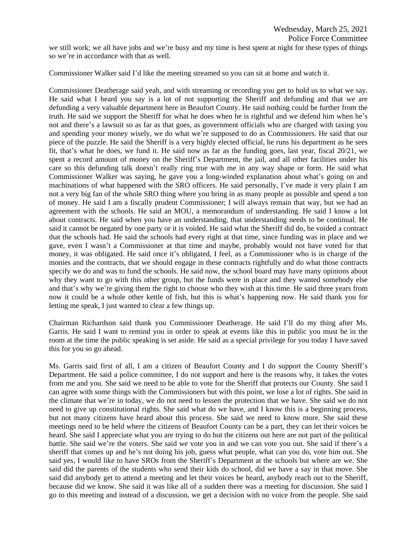we still work; we all have jobs and we're busy and my time is best spent at night for these types of things so we're in accordance with that as well.

Commissioner Walker said I'd like the meeting streamed so you can sit at home and watch it.

Commissioner Deatherage said yeah, and with streaming or recording you get to hold us to what we say. He said what I heard you say is a lot of not supporting the Sheriff and defunding and that we are defunding a very valuable department here in Beaufort County. He said nothing could be further from the truth. He said we support the Sheriff for what he does when he is rightful and we defend him when he's not and there's a lawsuit so as far as that goes, as government officials who are charged with taxing you and spending your money wisely, we do what we're supposed to do as Commissioners. He said that our piece of the puzzle. He said the Sheriff is a very highly elected official, he runs his department as he sees fit, that's what he does, we fund it. He said now as far as the funding goes, last year, fiscal 20/21, we spent a record amount of money on the Sheriff's Department, the jail, and all other facilities under his care so this defunding talk doesn't really ring true with me in any way shape or form. He said what Commissioner Walker was saying, he gave you a long-winded explanation about what's going on and machinations of what happened with the SRO officers. He said personally, I've made it very plain I am not a very big fan of the whole SRO thing where you bring in as many people as possible and spend a ton of money. He said I am a fiscally prudent Commissioner; I will always remain that way, but we had an agreement with the schools. He said an MOU, a memorandum of understanding. He said I know a lot about contracts. He said when you have an understanding, that understanding needs to be continual. He said it cannot be negated by one party or it is voided. He said what the Sheriff did do, he voided a contract that the schools had. He said the schools had every right at that time, since funding was in place and we gave, even I wasn't a Commissioner at that time and maybe, probably would not have voted for that money, it was obligated. He said once it's obligated, I feel, as a Commissioner who is in charge of the monies and the contracts, that we should engage in these contracts rightfully and do what those contracts specify we do and was to fund the schools. He said now, the school board may have many opinions about why they want to go with this other group, but the funds were in place and they wanted somebody else and that's why we're giving them the right to choose who they wish at this time. He said three years from now it could be a whole other kettle of fish, but this is what's happening now. He said thank you for letting me speak, I just wanted to clear a few things up.

Chairman Richardson said thank you Commissioner Deatherage. He said I'll do my thing after Ms. Garris. He said I want to remind you in order to speak at events like this in public you must be in the room at the time the public speaking is set aside. He said as a special privilege for you today I have saved this for you so go ahead.

Ms. Garris said first of all, I am a citizen of Beaufort County and I do support the County Sheriff's Department. He said a police committee, I do not support and here is the reasons why, it takes the votes from me and you. She said we need to be able to vote for the Sheriff that protects our County. She said I can agree with some things with the Commissioners but with this point, we lose a lot of rights. She said in the climate that we're in today, we do not need to lessen the protection that we have. She said we do not need to give up constitutional rights. She said what do we have, and I know this is a beginning process, but not many citizens have heard about this process. She said we need to know more. She said these meetings need to be held where the citizens of Beaufort County can be a part, they can let their voices be heard. She said I appreciate what you are trying to do but the citizens out here are not part of the political battle. She said we're the voters. She said we vote you in and we can vote you out. She said if there's a sheriff that comes up and he's not doing his job, guess what people, what can you do, vote him out. She said yes, I would like to have SROs from the Sheriff's Department at the schools but where are we. She said did the parents of the students who send their kids do school, did we have a say in that move. She said did anybody get to attend a meeting and let their voices be heard, anybody reach out to the Sheriff, because did we know. She said it was like all of a sudden there was a meeting for discussion. She said I go to this meeting and instead of a discussion, we get a decision with no voice from the people. She said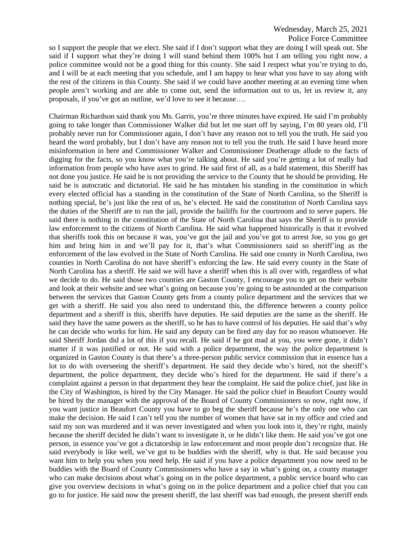so I support the people that we elect. She said if I don't support what they are doing I will speak out. She said if I support what they're doing I will stand behind them 100% but I am telling you right now, a police committee would not be a good thing for this county. She said I respect what you're trying to do, and I will be at each meeting that you schedule, and I am happy to hear what you have to say along with the rest of the citizens in this County. She said if we could have another meeting at an evening time when people aren't working and are able to come out, send the information out to us, let us review it, any proposals, if you've got an outline, we'd love to see it because….

Chairman Richardson said thank you Ms. Garris, you're three minutes have expired. He said I'm probably going to take longer than Commissioner Walker did but let me start off by saying, I'm 80 years old, I'll probably never run for Commissioner again, I don't have any reason not to tell you the truth. He said you heard the word probably, but I don't have any reason not to tell you the truth. He said I have heard more misinformation in here and Commissioner Walker and Commissioner Deatherage allude to the facts of digging for the facts, so you know what you're talking about. He said you're getting a lot of really bad information from people who have axes to grind. He said first of all, as a bald statement, this Sheriff has not done you justice. He said he is not providing the service to the County that he should be providing. He said he is autocratic and dictatorial. He said he has mistaken his standing in the constitution in which every elected official has a standing in the constitution of the State of North Carolina, so the Sheriff is nothing special, he's just like the rest of us, he's elected. He said the constitution of North Carolina says the duties of the Sheriff are to run the jail, provide the bailiffs for the courtroom and to serve papers. He said there is nothing in the constitution of the State of North Carolina that says the Sheriff is to provide law enforcement to the citizens of North Carolina. He said what happened historically is that it evolved that sheriffs took this on because it was, you've got the jail and you've got to arrest Joe, so you go get him and bring him in and we'll pay for it, that's what Commissioners said so sheriff'ing as the enforcement of the law evolved in the State of North Carolina. He said one county in North Carolina, two counties in North Carolina do not have sheriff's enforcing the law. He said every county in the State of North Carolina has a sheriff. He said we will have a sheriff when this is all over with, regardless of what we decide to do. He said those two counties are Gaston County, I encourage you to get on their website and look at their website and see what's going on because you're going to be astounded at the comparison between the services that Gaston County gets from a county police department and the services that we get with a sheriff. He said you also need to understand this, the difference between a county police department and a sheriff is this, sheriffs have deputies. He said deputies are the same as the sheriff. He said they have the same powers as the sheriff, so he has to have control of his deputies. He said that's why he can decide who works for him. He said any deputy can be fired any day for no reason whatsoever. He said Sheriff Jordan did a lot of this if you recall. He said if he got mad at you, you were gone, it didn't matter if it was justified or not. He said with a police department, the way the police department is organized in Gaston County is that there's a three-person public service commission that in essence has a lot to do with overseeing the sheriff's department. He said they decide who's hired, not the sheriff's department, the police department, they decide who's hired for the department. He said if there's a complaint against a person in that department they hear the complaint. He said the police chief, just like in the City of Washington, is hired by the City Manager. He said the police chief in Beaufort County would be hired by the manager with the approval of the Board of County Commissioners so now, right now, if you want justice in Beaufort County you have to go beg the sheriff because he's the only one who can make the decision. He said I can't tell you the number of women that have sat in my office and cried and said my son was murdered and it was never investigated and when you look into it, they're right, mainly because the sheriff decided he didn't want to investigate it, or he didn't like them. He said you've got one person, in essence you've got a dictatorship in law enforcement and most people don't recognize that. He said everybody is like well, we've got to be buddies with the sheriff, why is that. He said because you want him to help you when you need help. He said if you have a police department you now need to be buddies with the Board of County Commissioners who have a say in what's going on, a county manager who can make decisions about what's going on in the police department, a public service board who can give you overview decisions in what's going on in the police department and a police chief that you can go to for justice. He said now the present sheriff, the last sheriff was bad enough, the present sheriff ends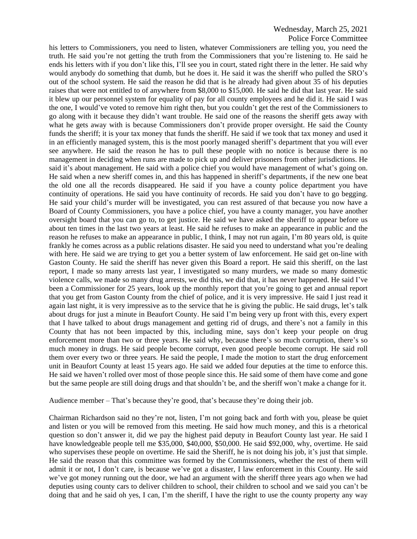Police Force Committee

his letters to Commissioners, you need to listen, whatever Commissioners are telling you, you need the truth. He said you're not getting the truth from the Commissioners that you're listening to. He said he ends his letters with if you don't like this, I'll see you in court, stated right there in the letter. He said why would anybody do something that dumb, but he does it. He said it was the sheriff who pulled the SRO's out of the school system. He said the reason he did that is he already had given about 35 of his deputies raises that were not entitled to of anywhere from \$8,000 to \$15,000. He said he did that last year. He said it blew up our personnel system for equality of pay for all county employees and he did it. He said I was the one, I would've voted to remove him right then, but you couldn't get the rest of the Commissioners to go along with it because they didn't want trouble. He said one of the reasons the sheriff gets away with what he gets away with is because Commissioners don't provide proper oversight. He said the County funds the sheriff; it is your tax money that funds the sheriff. He said if we took that tax money and used it in an efficiently managed system, this is the most poorly managed sheriff's department that you will ever see anywhere. He said the reason he has to pull these people with no notice is because there is no management in deciding when runs are made to pick up and deliver prisoners from other jurisdictions. He said it's about management. He said with a police chief you would have management of what's going on. He said when a new sheriff comes in, and this has happened in sheriff's departments, if the new one beat the old one all the records disappeared. He said if you have a county police department you have continuity of operations. He said you have continuity of records. He said you don't have to go begging. He said your child's murder will be investigated, you can rest assured of that because you now have a Board of County Commissioners, you have a police chief, you have a county manager, you have another oversight board that you can go to, to get justice. He said we have asked the sheriff to appear before us about ten times in the last two years at least. He said he refuses to make an appearance in public and the reason he refuses to make an appearance in public, I think, I may not run again, I'm 80 years old, is quite frankly he comes across as a public relations disaster. He said you need to understand what you're dealing with here. He said we are trying to get you a better system of law enforcement. He said get on-line with Gaston County. He said the sheriff has never given this Board a report. He said this sheriff, on the last report, I made so many arrests last year, I investigated so many murders, we made so many domestic violence calls, we made so many drug arrests, we did this, we did that, it has never happened. He said I've been a Commissioner for 25 years, look up the monthly report that you're going to get and annual report that you get from Gaston County from the chief of police, and it is very impressive. He said I just read it again last night, it is very impressive as to the service that he is giving the public. He said drugs, let's talk about drugs for just a minute in Beaufort County. He said I'm being very up front with this, every expert that I have talked to about drugs management and getting rid of drugs, and there's not a family in this County that has not been impacted by this, including mine, says don't keep your people on drug enforcement more than two or three years. He said why, because there's so much corruption, there's so much money in drugs. He said people become corrupt, even good people become corrupt. He said roll them over every two or three years. He said the people, I made the motion to start the drug enforcement unit in Beaufort County at least 15 years ago. He said we added four deputies at the time to enforce this. He said we haven't rolled over most of those people since this. He said some of them have come and gone but the same people are still doing drugs and that shouldn't be, and the sheriff won't make a change for it.

Audience member – That's because they're good, that's because they're doing their job.

Chairman Richardson said no they're not, listen, I'm not going back and forth with you, please be quiet and listen or you will be removed from this meeting. He said how much money, and this is a rhetorical question so don't answer it, did we pay the highest paid deputy in Beaufort County last year. He said I have knowledgeable people tell me \$35,000, \$40,000, \$50,000. He said \$92,000, why, overtime. He said who supervises these people on overtime. He said the Sheriff, he is not doing his job, it's just that simple. He said the reason that this committee was formed by the Commissioners, whether the rest of them will admit it or not, I don't care, is because we've got a disaster, I law enforcement in this County. He said we've got money running out the door, we had an argument with the sheriff three years ago when we had deputies using county cars to deliver children to school, their children to school and we said you can't be doing that and he said oh yes, I can, I'm the sheriff, I have the right to use the county property any way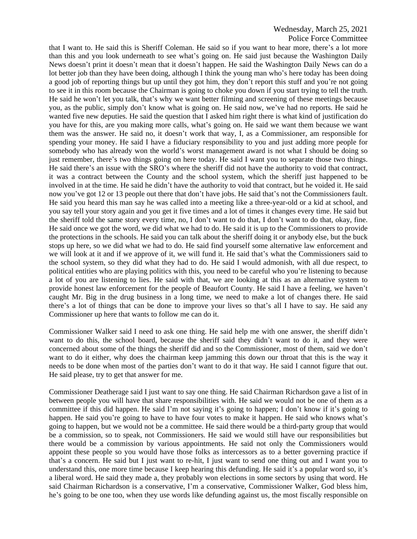#### Police Force Committee

that I want to. He said this is Sheriff Coleman. He said so if you want to hear more, there's a lot more than this and you look underneath to see what's going on. He said just because the Washington Daily News doesn't print it doesn't mean that it doesn't happen. He said the Washington Daily News can do a lot better job than they have been doing, although I think the young man who's here today has been doing a good job of reporting things but up until they got him, they don't report this stuff and you're not going to see it in this room because the Chairman is going to choke you down if you start trying to tell the truth. He said he won't let you talk, that's why we want better filming and screening of these meetings because you, as the public, simply don't know what is going on. He said now, we've had no reports. He said he wanted five new deputies. He said the question that I asked him right there is what kind of justification do you have for this, are you making more calls, what's going on. He said we want them because we want them was the answer. He said no, it doesn't work that way, I, as a Commissioner, am responsible for spending your money. He said I have a fiduciary responsibility to you and just adding more people for somebody who has already won the world's worst management award is not what I should be doing so just remember, there's two things going on here today. He said I want you to separate those two things. He said there's an issue with the SRO's where the sheriff did not have the authority to void that contract, it was a contract between the County and the school system, which the sheriff just happened to be involved in at the time. He said he didn't have the authority to void that contract, but he voided it. He said now you've got 12 or 13 people out there that don't have jobs. He said that's not the Commissioners fault. He said you heard this man say he was called into a meeting like a three-year-old or a kid at school, and you say tell your story again and you get it five times and a lot of times it changes every time. He said but the sheriff told the same story every time, no, I don't want to do that, I don't want to do that, okay, fine. He said once we got the word, we did what we had to do. He said it is up to the Commissioners to provide the protections in the schools. He said you can talk about the sheriff doing it or anybody else, but the buck stops up here, so we did what we had to do. He said find yourself some alternative law enforcement and we will look at it and if we approve of it, we will fund it. He said that's what the Commissioners said to the school system, so they did what they had to do. He said I would admonish, with all due respect, to political entities who are playing politics with this, you need to be careful who you're listening to because a lot of you are listening to lies. He said with that, we are looking at this as an alternative system to provide honest law enforcement for the people of Beaufort County. He said I have a feeling, we haven't caught Mr. Big in the drug business in a long time, we need to make a lot of changes there. He said there's a lot of things that can be done to improve your lives so that's all I have to say. He said any Commissioner up here that wants to follow me can do it.

Commissioner Walker said I need to ask one thing. He said help me with one answer, the sheriff didn't want to do this, the school board, because the sheriff said they didn't want to do it, and they were concerned about some of the things the sheriff did and so the Commissioner, most of them, said we don't want to do it either, why does the chairman keep jamming this down our throat that this is the way it needs to be done when most of the parties don't want to do it that way. He said I cannot figure that out. He said please, try to get that answer for me.

Commissioner Deatherage said I just want to say one thing. He said Chairman Richardson gave a list of in between people you will have that share responsibilities with. He said we would not be one of them as a committee if this did happen. He said I'm not saying it's going to happen; I don't know if it's going to happen. He said you're going to have to have four votes to make it happen. He said who knows what's going to happen, but we would not be a committee. He said there would be a third-party group that would be a commission, so to speak, not Commissioners. He said we would still have our responsibilities but there would be a commission by various appointments. He said not only the Commissioners would appoint these people so you would have those folks as intercessors as to a better governing practice if that's a concern. He said but I just want to re-hit, I just want to send one thing out and I want you to understand this, one more time because I keep hearing this defunding. He said it's a popular word so, it's a liberal word. He said they made a, they probably won elections in some sectors by using that word. He said Chairman Richardson is a conservative, I'm a conservative, Commissioner Walker, God bless him, he's going to be one too, when they use words like defunding against us, the most fiscally responsible on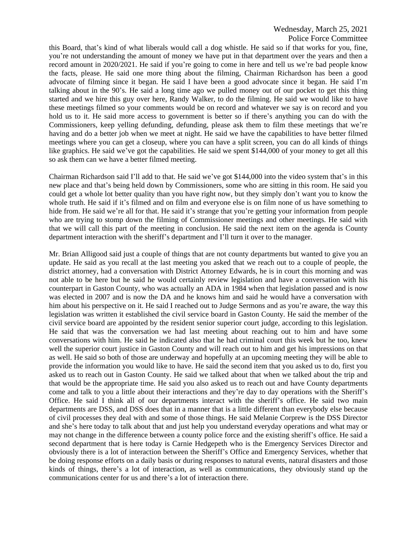# Wednesday, March 25, 2021 Police Force Committee

this Board, that's kind of what liberals would call a dog whistle. He said so if that works for you, fine, you're not understanding the amount of money we have put in that department over the years and then a record amount in 2020/2021. He said if you're going to come in here and tell us we're bad people know the facts, please. He said one more thing about the filming, Chairman Richardson has been a good advocate of filming since it began. He said I have been a good advocate since it began. He said I'm talking about in the 90's. He said a long time ago we pulled money out of our pocket to get this thing started and we hire this guy over here, Randy Walker, to do the filming. He said we would like to have these meetings filmed so your comments would be on record and whatever we say is on record and you hold us to it. He said more access to government is better so if there's anything you can do with the Commissioners, keep yelling defunding, defunding, please ask them to film these meetings that we're having and do a better job when we meet at night. He said we have the capabilities to have better filmed meetings where you can get a closeup, where you can have a split screen, you can do all kinds of things like graphics. He said we've got the capabilities. He said we spent \$144,000 of your money to get all this so ask them can we have a better filmed meeting.

Chairman Richardson said I'll add to that. He said we've got \$144,000 into the video system that's in this new place and that's being held down by Commissioners, some who are sitting in this room. He said you could get a whole lot better quality than you have right now, but they simply don't want you to know the whole truth. He said if it's filmed and on film and everyone else is on film none of us have something to hide from. He said we're all for that. He said it's strange that you're getting your information from people who are trying to stomp down the filming of Commissioner meetings and other meetings. He said with that we will call this part of the meeting in conclusion. He said the next item on the agenda is County department interaction with the sheriff's department and I'll turn it over to the manager.

Mr. Brian Alligood said just a couple of things that are not county departments but wanted to give you an update. He said as you recall at the last meeting you asked that we reach out to a couple of people, the district attorney, had a conversation with District Attorney Edwards, he is in court this morning and was not able to be here but he said he would certainly review legislation and have a conversation with his counterpart in Gaston County, who was actually an ADA in 1984 when that legislation passed and is now was elected in 2007 and is now the DA and he knows him and said he would have a conversation with him about his perspective on it. He said I reached out to Judge Sermons and as you're aware, the way this legislation was written it established the civil service board in Gaston County. He said the member of the civil service board are appointed by the resident senior superior court judge, according to this legislation. He said that was the conversation we had last meeting about reaching out to him and have some conversations with him. He said he indicated also that he had criminal court this week but he too, knew well the superior court justice in Gaston County and will reach out to him and get his impressions on that as well. He said so both of those are underway and hopefully at an upcoming meeting they will be able to provide the information you would like to have. He said the second item that you asked us to do, first you asked us to reach out in Gaston County. He said we talked about that when we talked about the trip and that would be the appropriate time. He said you also asked us to reach out and have County departments come and talk to you a little about their interactions and they're day to day operations with the Sheriff's Office. He said I think all of our departments interact with the sheriff's office. He said two main departments are DSS, and DSS does that in a manner that is a little different than everybody else because of civil processes they deal with and some of those things. He said Melanie Corprew is the DSS Director and she's here today to talk about that and just help you understand everyday operations and what may or may not change in the difference between a county police force and the existing sheriff's office. He said a second department that is here today is Carnie Hedgepeth who is the Emergency Services Director and obviously there is a lot of interaction between the Sheriff's Office and Emergency Services, whether that be doing response efforts on a daily basis or during responses to natural events, natural disasters and those kinds of things, there's a lot of interaction, as well as communications, they obviously stand up the communications center for us and there's a lot of interaction there.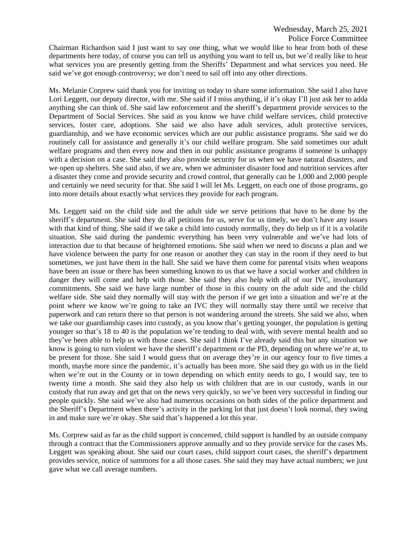Chairman Richardson said I just want to say one thing, what we would like to hear from both of these departments here today, of course you can tell us anything you want to tell us, but we'd really like to hear what services you are presently getting from the Sheriffs' Department and what services you need. He said we've got enough controversy; we don't need to sail off into any other directions.

Ms. Melanie Corprew said thank you for inviting us today to share some information. She said I also have Lori Leggett, our deputy director, with me. She said if I miss anything, if it's okay I'll just ask her to adda anything she can think of. She said law enforcement and the sheriff's department provide services to the Department of Social Services. She said as you know we have child welfare services, child protective services, foster care, adoptions. She said we also have adult services, adult protective services, guardianship, and we have economic services which are our public assistance programs. She said we do routinely call for assistance and generally it's our child welfare program. She said sometimes our adult welfare programs and then every now and then in our public assistance programs if someone is unhappy with a decision on a case. She said they also provide security for us when we have natural disasters, and we open up shelters. She said also, if we are, when we administer disaster food and nutrition services after a disaster they come and provide security and crowd control, that generally can be 1,000 and 2,000 people and certainly we need security for that. She said I will let Ms. Leggett, on each one of those programs, go into more details about exactly what services they provide for each program.

Ms. Leggett said on the child side and the adult side we serve petitions that have to be done by the sheriff's department. She said they do all petitions for us, serve for us timely, we don't have any issues with that kind of thing. She said if we take a child into custody normally, they do help us if it is a volatile situation. She said during the pandemic everything has been very vulnerable and we've had lots of interaction due to that because of heightened emotions. She said when we need to discuss a plan and we have violence between the party for one reason or another they can stay in the room if they need to but sometimes, we just have them in the hall. She said we have them come for parental visits when weapons have been an issue or there has been something known to us that we have a social worker and children in danger they will come and help with those. She said they also help with all of our IVC, involuntary commitments. She said we have large number of those in this county on the adult side and the child welfare side. She said they normally will stay with the person if we get into a situation and we're at the point where we know we're going to take an IVC they will normally stay there until we receive that paperwork and can return there so that person is not wandering around the streets. She said we also, when we take our guardianship cases into custody, as you know that's getting younger, the population is getting younger so that's 18 to 40 is the population we're tending to deal with, with severe mental health and so they've been able to help us with those cases. She said I think I've already said this but any situation we know is going to turn violent we have the sheriff's department or the PD, depending on where we're at, to be present for those. She said I would guess that on average they're in our agency four to five times a month, maybe more since the pandemic, it's actually has been more. She said they go with us in the field when we're out in the County or in town depending on which entity needs to go, I would say, ten to twenty time a month. She said they also help us with children that are in our custody, wards in our custody that run away and get that on the news very quickly, so we've been very successful in finding our people quickly. She said we've also had numerous occasions on both sides of the police department and the Sheriff's Department when there's activity in the parking lot that just doesn't look normal, they swing in and make sure we're okay. She said that's happened a lot this year.

Ms. Corprew said as far as the child support is concerned, child support is handled by an outside company through a contract that the Commissioners approve annually and so they provide service for the cases Ms. Leggett was speaking about. She said our court cases, child support court cases, the sheriff's department provides service, notice of summons for a all those cases. She said they may have actual numbers; we just gave what we call average numbers.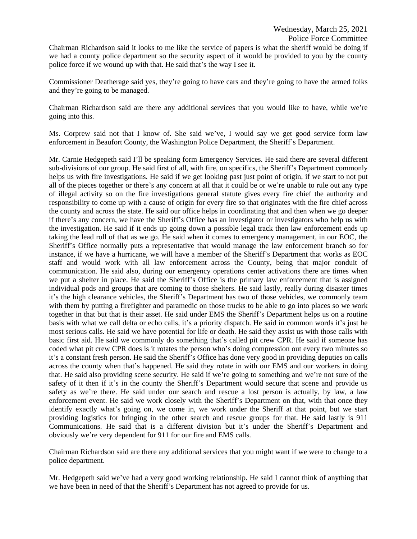Chairman Richardson said it looks to me like the service of papers is what the sheriff would be doing if we had a county police department so the security aspect of it would be provided to you by the county police force if we wound up with that. He said that's the way I see it.

Commissioner Deatherage said yes, they're going to have cars and they're going to have the armed folks and they're going to be managed.

Chairman Richardson said are there any additional services that you would like to have, while we're going into this.

Ms. Corprew said not that I know of. She said we've, I would say we get good service form law enforcement in Beaufort County, the Washington Police Department, the Sheriff's Department.

Mr. Carnie Hedgepeth said I'll be speaking form Emergency Services. He said there are several different sub-divisions of our group. He said first of all, with fire, on specifics, the Sheriff's Department commonly helps us with fire investigations. He said if we get looking past just point of origin, if we start to not put all of the pieces together or there's any concern at all that it could be or we're unable to rule out any type of illegal activity so on the fire investigations general statute gives every fire chief the authority and responsibility to come up with a cause of origin for every fire so that originates with the fire chief across the county and across the state. He said our office helps in coordinating that and then when we go deeper if there's any concern, we have the Sheriff's Office has an investigator or investigators who help us with the investigation. He said if it ends up going down a possible legal track then law enforcement ends up taking the lead roll of that as we go. He said when it comes to emergency management, in our EOC, the Sheriff's Office normally puts a representative that would manage the law enforcement branch so for instance, if we have a hurricane, we will have a member of the Sheriff's Department that works as EOC staff and would work with all law enforcement across the County, being that major conduit of communication. He said also, during our emergency operations center activations there are times when we put a shelter in place. He said the Sheriff's Office is the primary law enforcement that is assigned individual pods and groups that are coming to those shelters. He said lastly, really during disaster times it's the high clearance vehicles, the Sheriff's Department has two of those vehicles, we commonly team with them by putting a firefighter and paramedic on those trucks to be able to go into places so we work together in that but that is their asset. He said under EMS the Sheriff's Department helps us on a routine basis with what we call delta or echo calls, it's a priority dispatch. He said in common words it's just he most serious calls. He said we have potential for life or death. He said they assist us with those calls with basic first aid. He said we commonly do something that's called pit crew CPR. He said if someone has coded what pit crew CPR does is it rotates the person who's doing compression out every two minutes so it's a constant fresh person. He said the Sheriff's Office has done very good in providing deputies on calls across the county when that's happened. He said they rotate in with our EMS and our workers in doing that. He said also providing scene security. He said if we're going to something and we're not sure of the safety of it then if it's in the county the Sheriff's Department would secure that scene and provide us safety as we're there. He said under our search and rescue a lost person is actually, by law, a law enforcement event. He said we work closely with the Sheriff's Department on that, with that once they identify exactly what's going on, we come in, we work under the Sheriff at that point, but we start providing logistics for bringing in the other search and rescue groups for that. He said lastly is 911 Communications. He said that is a different division but it's under the Sheriff's Department and obviously we're very dependent for 911 for our fire and EMS calls.

Chairman Richardson said are there any additional services that you might want if we were to change to a police department.

Mr. Hedgepeth said we've had a very good working relationship. He said I cannot think of anything that we have been in need of that the Sheriff's Department has not agreed to provide for us.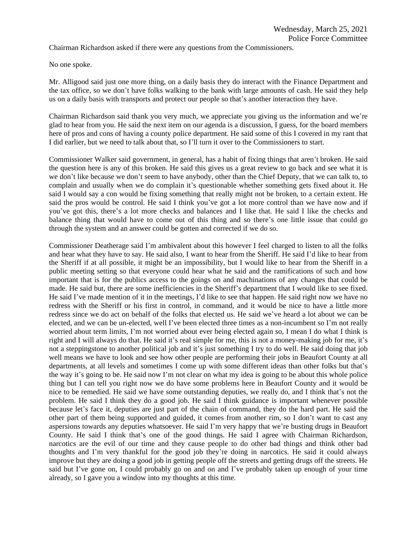Chairman Richardson asked if there were any questions from the Commissioners.

No one spoke.

Mr. Alligood said just one more thing, on a daily basis they do interact with the Finance Department and the tax office, so we don't have folks walking to the bank with large amounts of cash. He said they help us on a daily basis with transports and protect our people so that's another interaction they have.

Chairman Richardson said thank you very much, we appreciate you giving us the information and we're glad to hear from you. He said the next item on our agenda is a discussion, I guess, for the board members here of pros and cons of having a county police department. He said some of this I covered in my rant that I did earlier, but we need to talk about that, so I'll turn it over to the Commissioners to start.

Commissioner Walker said government, in general, has a habit of fixing things that aren't broken. He said the question here is any of this broken. He said this gives us a great review to go back and see what it is we don't like because we don't seem to have anybody, other than the Chief Deputy, that we can talk to, to complain and usually when we do complain it's questionable whether something gets fixed about it. He said I would say a con would be fixing something that really might not be broken, to a certain extent. He said the pros would be control. He said I think you've got a lot more control than we have now and if you've got this, there's a lot more checks and balances and I like that. He said I like the checks and balance thing that would have to come out of this thing and so there's one little issue that could go through the system and an answer could be gotten and corrected if we do so.

Commissioner Deatherage said I'm ambivalent about this however I feel charged to listen to all the folks and hear what they have to say. He said also, I want to hear from the Sheriff. He said I'd like to hear from the Sheriff if at all possible, it might be an impossibility, but I would like to hear from the Sheriff in a public meeting setting so that everyone could hear what he said and the ramifications of such and how important that is for the publics access to the goings on and machinations of any changes that could be made. He said but, there are some inefficiencies in the Sheriff's department that I would like to see fixed. He said I've made mention of it in the meetings, I'd like to see that happen. He said right now we have no redress with the Sheriff or his first in control, in command, and it would be nice to have a little more redress since we do act on behalf of the folks that elected us. He said we've heard a lot about we can be elected, and we can be un-elected, well I've been elected three times as a non-incumbent so I'm not really worried about term limits, I'm not worried about ever being elected again so, I mean I do what I think is right and I will always do that. He said it's real simple for me, this is not a money-making job for me, it's not a steppingstone to another political job and it's just something I try to do well. He said doing that job well means we have to look and see how other people are performing their jobs in Beaufort County at all departments, at all levels and sometimes I come up with some different ideas than other folks but that's the way it's going to be. He said now I'm not clear on what my idea is going to be about this whole police thing but I can tell you right now we do have some problems here in Beaufort County and it would be nice to be remedied. He said we have some outstanding deputies, we really do, and I think that's not the problem. He said I think they do a good job. He said I think guidance is important whenever possible because let's face it, deputies are just part of the chain of command, they do the hard part. He said the other part of them being supported and guided, it comes from another rim, so I don't want to cast any aspersions towards any deputies whatsoever. He said I'm very happy that we're busting drugs in Beaufort County. He said I think that's one of the good things. He said I agree with Chairman Richardson, narcotics are the evil of our time and they cause people to do other bad things and think other bad thoughts and I'm very thankful for the good job they're doing in narcotics. He said it could always improve but they are doing a good job in getting people off the streets and getting drugs off the streets. He said but I've gone on, I could probably go on and on and I've probably taken up enough of your time already, so I gave you a window into my thoughts at this time.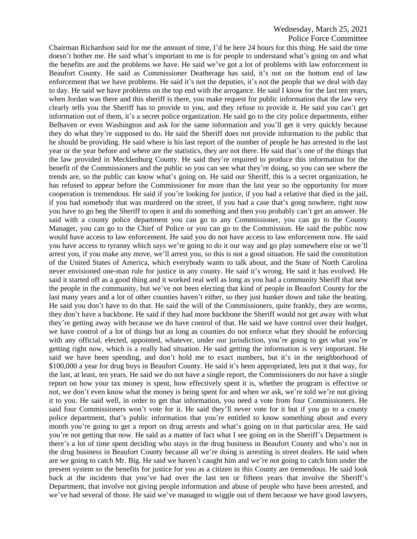Police Force Committee

Chairman Richardson said for me the amount of time, I'd be here 24 hours for this thing. He said the time doesn't bother me. He said what's important to me is for people to understand what's going on and what the benefits are and the problems we have. He said we've got a lot of problems with law enforcement in Beaufort County. He said as Commissioner Deatherage has said, it's not on the bottom end of law enforcement that we have problems. He said it's not the deputies, it's not the people that we deal with day to day. He said we have problems on the top end with the arrogance. He said I know for the last ten years, when Jordan was there and this sheriff is there, you make request for public information that the law very clearly tells you the Sheriff has to provide to you, and they refuse to provide it. He said you can't get information out of them, it's a secret police organization. He said go to the city police departments, either Belhaven or even Washington and ask for the same information and you'll get it very quickly because they do what they're supposed to do. He said the Sheriff does not provide information to the public that he should be providing. He said where is his last report of the number of people he has arrested in the last year or the year before and where are the statistics, they are not there. He said that's one of the things that the law provided in Mecklenburg County. He said they're required to produce this information for the benefit of the Commissioners and the public so you can see what they're doing, so you can see where the trends are, so the public can know what's going on. He said our Sheriff, this is a secret organization, he has refused to appear before the Commissioner for more than the last year so the opportunity for more cooperation is tremendous. He said if you're looking for justice, if you had a relative that died in the jail, if you had somebody that was murdered on the street, if you had a case that's gong nowhere, right now you have to go beg the Sheriff to open it and do something and then you probably can't get an answer. He said with a county police department you can go to any Commissioner, you can go to the County Manager, you can go to the Chief of Police or you can go to the Commission. He said the public now would have access to law enforcement. He said you do not have access to law enforcement now. He said you have access to tyranny which says we're going to do it our way and go play somewhere else or we'll arrest you, if you make any move, we'll arrest you, so this is not a good situation. He said the constitution of the United States of America, which everybody wants to talk about, and the State of North Carolina never envisioned one-man rule for justice in any county. He said it's wrong. He said it has evolved. He said it started off as a good thing and it worked real well as long as you had a community Sheriff that new the people in the community, but we've not been electing that kind of people in Beaufort County for the last many years and a lot of other counties haven't either, so they just hunker down and take the beating. He said you don't have to do that. He said the will of the Commissioners, quite frankly, they are worms, they don't have a backbone. He said if they had more backbone the Sheriff would not get away with what they're getting away with because we do have control of that. He said we have control over their budget, we have control of a lot of things but as long as counties do not enforce what they should be enforcing with any official, elected, appointed, whatever, under our jurisdiction, you're going to get what you're getting right now, which is a really bad situation. He said getting the information is very important. He said we have been spending, and don't hold me to exact numbers, but it's in the neighborhood of \$100,000 a year for drug buys in Beaufort County. He said it's been appropriated, lets put it that way, for the last, at least, ten years. He said we do not have a single report, the Commissioners do not have a single report on how your tax money is spent, how effectively spent it is, whether the program is effective or not, we don't even know what the money is being spent for and when we ask, we're told we're not giving it to you. He said well, in order to get that information, you need a vote from four Commissioners. He said four Commissioners won't vote for it. He said they'll never vote for it but if you go to a county police department, that's public information that you're entitled to know something about and every month you're going to get a report on drug arrests and what's going on in that particular area. He said you're not getting that now. He said as a matter of fact what I see going on in the Sheriff's Department is there's a lot of time spent deciding who stays in the drug business in Beaufort County and who's not in the drug business in Beaufort County because all we're doing is arresting is street dealers. He said when are we going to catch Mr. Big. He said we haven't caught him and we're not going to catch him under the present system so the benefits for justice for you as a citizen in this County are tremendous. He said look back at the incidents that you've had over the last ten or fifteen years that involve the Sheriff's Department, that involve not giving people information and abuse of people who have been arrested, and we've had several of those. He said we've managed to wiggle out of them because we have good lawyers,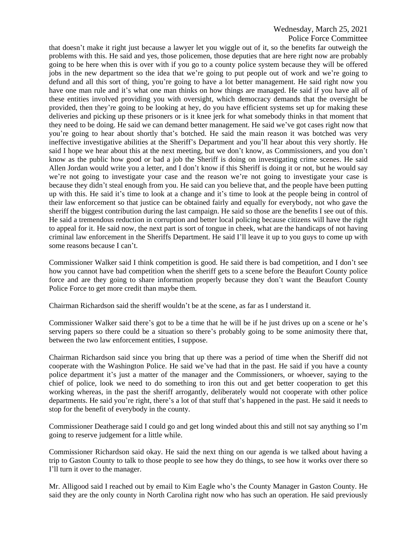Police Force Committee that doesn't make it right just because a lawyer let you wiggle out of it, so the benefits far outweigh the problems with this. He said and yes, those policemen, those deputies that are here right now are probably going to be here when this is over with if you go to a county police system because they will be offered jobs in the new department so the idea that we're going to put people out of work and we're going to defund and all this sort of thing, you're going to have a lot better management. He said right now you have one man rule and it's what one man thinks on how things are managed. He said if you have all of these entities involved providing you with oversight, which democracy demands that the oversight be provided, then they're going to be looking at hey, do you have efficient systems set up for making these deliveries and picking up these prisoners or is it knee jerk for what somebody thinks in that moment that they need to be doing. He said we can demand better management. He said we've got cases right now that you're going to hear about shortly that's botched. He said the main reason it was botched was very ineffective investigative abilities at the Sheriff's Department and you'll hear about this very shortly. He said I hope we hear about this at the next meeting, but we don't know, as Commissioners, and you don't know as the public how good or bad a job the Sheriff is doing on investigating crime scenes. He said Allen Jordan would write you a letter, and I don't know if this Sheriff is doing it or not, but he would say we're not going to investigate your case and the reason we're not going to investigate your case is because they didn't steal enough from you. He said can you believe that, and the people have been putting up with this. He said it's time to look at a change and it's time to look at the people being in control of their law enforcement so that justice can be obtained fairly and equally for everybody, not who gave the sheriff the biggest contribution during the last campaign. He said so those are the benefits I see out of this. He said a tremendous reduction in corruption and better local policing because citizens will have the right to appeal for it. He said now, the next part is sort of tongue in cheek, what are the handicaps of not having criminal law enforcement in the Sheriffs Department. He said I'll leave it up to you guys to come up with some reasons because I can't.

Commissioner Walker said I think competition is good. He said there is bad competition, and I don't see how you cannot have bad competition when the sheriff gets to a scene before the Beaufort County police force and are they going to share information properly because they don't want the Beaufort County Police Force to get more credit than maybe them.

Chairman Richardson said the sheriff wouldn't be at the scene, as far as I understand it.

Commissioner Walker said there's got to be a time that he will be if he just drives up on a scene or he's serving papers so there could be a situation so there's probably going to be some animosity there that, between the two law enforcement entities, I suppose.

Chairman Richardson said since you bring that up there was a period of time when the Sheriff did not cooperate with the Washington Police. He said we've had that in the past. He said if you have a county police department it's just a matter of the manager and the Commissioners, or whoever, saying to the chief of police, look we need to do something to iron this out and get better cooperation to get this working whereas, in the past the sheriff arrogantly, deliberately would not cooperate with other police departments. He said you're right, there's a lot of that stuff that's happened in the past. He said it needs to stop for the benefit of everybody in the county.

Commissioner Deatherage said I could go and get long winded about this and still not say anything so I'm going to reserve judgement for a little while.

Commissioner Richardson said okay. He said the next thing on our agenda is we talked about having a trip to Gaston County to talk to those people to see how they do things, to see how it works over there so I'll turn it over to the manager.

Mr. Alligood said I reached out by email to Kim Eagle who's the County Manager in Gaston County. He said they are the only county in North Carolina right now who has such an operation. He said previously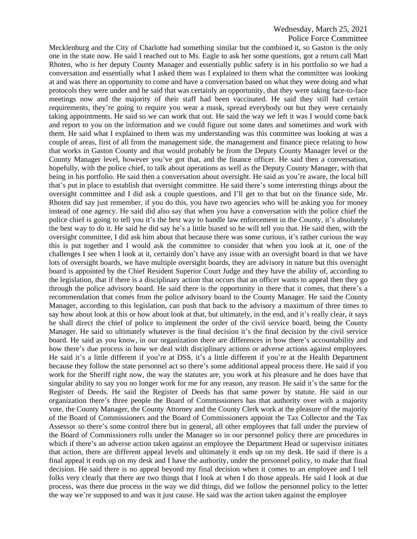Mecklenburg and the City of Charlotte had something similar but the combined it, so Gaston is the only one in the state now. He said I reached out to Ms. Eagle to ask her some questions, got a return call Matt Rhoten, who is her deputy County Manager and essentially public safety is in his portfolio so we had a conversation and essentially what I asked them was I explained to them what the committee was looking at and was there an opportunity to come and have a conversation based on what they were doing and what protocols they were under and he said that was certainly an opportunity, that they were taking face-to-face meetings now and the majority of their staff had been vaccinated. He said they still had certain requirements, they're going to require you wear a mask, spread everybody out but they were certainly taking appointments. He said so we can work that out. He said the way we left it was I would come back and report to you on the information and we could figure out some dates and sometimes and work with them. He said what I explained to them was my understanding was this committee was looking at was a couple of areas, first of all from the management side, the management and finance piece relating to how that works in Gaston County and that would probably be from the Deputy County Manager level or the County Manager level, however you've got that, and the finance officer. He said then a conversation, hopefully, with the police chief, to talk about operations as well as the Deputy County Manager, with that being in his portfolio. He said then a conversation about oversight. He said as you're aware, the local bill that's put in place to establish that oversight committee. He said there's some interesting things about the oversight committee and I did ask a couple questions, and I'll get to that but on the finance side, Mr. Rhoten did say just remember, if you do this, you have two agencies who will be asking you for money instead of one agency. He said did also say that when you have a conversation with the police chief the police chief is going to tell you it's the best way to handle law enforcement in the County, it's absolutely the best way to do it. He said he did say he's a little biased so he will tell you that. He said then, with the oversight committee, I did ask him about that because there was some curious, it's rather curious the way this is put together and I would ask the committee to consider that when you look at it, one of the challenges I see when I look at it, certainly don't have any issue with an oversight board in that we have lots of oversight boards, we have multiple oversight boards, they are advisory in nature but this oversight board is appointed by the Chief Resident Superior Court Judge and they have the ability of, according to the legislation, that if there is a disciplinary action that occurs that an officer wants to appeal then they go through the police advisory board. He said there is the opportunity in there that it comes, that there's a recommendation that comes from the police advisory board to the County Manager. He said the County Manager, according to this legislation, can push that back to the advisory a maximum of three times to say how about look at this or how about look at that, but ultimately, in the end, and it's really clear, it says he shall direct the chief of police to implement the order of the civil service board, being the County Manager. He said so ultimately whatever is the final decision it's the final decision by the civil service board. He said as you know, in our organization there are differences in how there's accountability and how there's due process in how we deal with disciplinary actions or adverse actions against employees. He said it's a little different if you're at DSS, it's a little different if you're at the Health Department because they follow the state personnel act so there's some additional appeal process there. He said if you work for the Sheriff right now, the way the statutes are, you work at his pleasure and he does have that singular ability to say you no longer work for me for any reason, any reason. He said it's the same for the Register of Deeds. He said the Register of Deeds has that same power by statute. He said in our organization there's three people the Board of Commissioners has that authority over with a majority vote, the County Manager, the County Attorney and the County Clerk work at the pleasure of the majority of the Board of Commissioners and the Board of Commissioners appoint the Tax Collector and the Tax Assessor so there's some control there but in general, all other employees that fall under the purview of the Board of Commissioners rolls under the Manager so in our personnel policy there are procedures in which if there's an adverse action taken against an employee the Department Head or supervisor initiates that action, there are different appeal levels and ultimately it ends up on my desk. He said if there is a final appeal it ends up on my desk and I have the authority, under the personnel policy, to make that final decision. He said there is no appeal beyond my final decision when it comes to an employee and I tell folks very clearly that there are two things that I look at when I do those appeals. He said I look at due process, was there due process in the way we did things, did we follow the personnel policy to the letter the way we're supposed to and was it just cause. He said was the action taken against the employee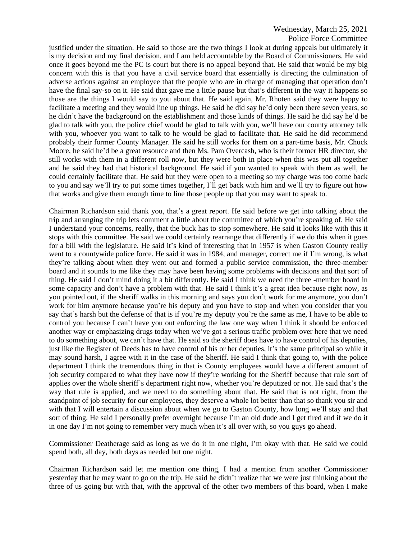#### Police Force Committee

justified under the situation. He said so those are the two things I look at during appeals but ultimately it is my decision and my final decision, and I am held accountable by the Board of Commissioners. He said once it goes beyond me the PC is court but there is no appeal beyond that. He said that would be my big concern with this is that you have a civil service board that essentially is directing the culmination of adverse actions against an employee that the people who are in charge of managing that operation don't have the final say-so on it. He said that gave me a little pause but that's different in the way it happens so those are the things I would say to you about that. He said again, Mr. Rhoten said they were happy to facilitate a meeting and they would line up things. He said he did say he'd only been there seven years, so he didn't have the background on the establishment and those kinds of things. He said he did say he'd be glad to talk with you, the police chief would be glad to talk with you, we'll have our county attorney talk with you, whoever you want to talk to he would be glad to facilitate that. He said he did recommend probably their former County Manager. He said he still works for them on a part-time basis, Mr. Chuck Moore, he said he'd be a great resource and then Ms. Pam Overcash, who is their former HR director, she still works with them in a different roll now, but they were both in place when this was put all together and he said they had that historical background. He said if you wanted to speak with them as well, he could certainly facilitate that. He said but they were open to a meeting so my charge was too come back to you and say we'll try to put some times together, I'll get back with him and we'll try to figure out how that works and give them enough time to line those people up that you may want to speak to.

Chairman Richardson said thank you, that's a great report. He said before we get into talking about the trip and arranging the trip lets comment a little about the committee of which you're speaking of. He said I understand your concerns, really, that the buck has to stop somewhere. He said it looks like with this it stops with this committee. He said we could certainly rearrange that differently if we do this when it goes for a bill with the legislature. He said it's kind of interesting that in 1957 is when Gaston County really went to a countywide police force. He said it was in 1984, and manager, correct me if I'm wrong, is what they're talking about when they went out and formed a public service commission, the three-member board and it sounds to me like they may have been having some problems with decisions and that sort of thing. He said I don't mind doing it a bit differently. He said I think we need the three -member board in some capacity and don't have a problem with that. He said I think it's a great idea because right now, as you pointed out, if the sheriff walks in this morning and says you don't work for me anymore, you don't work for him anymore because you're his deputy and you have to stop and when you consider that you say that's harsh but the defense of that is if you're my deputy you're the same as me, I have to be able to control you because I can't have you out enforcing the law one way when I think it should be enforced another way or emphasizing drugs today when we've got a serious traffic problem over here that we need to do something about, we can't have that. He said so the sheriff does have to have control of his deputies, just like the Register of Deeds has to have control of his or her deputies, it's the same principal so while it may sound harsh, I agree with it in the case of the Sheriff. He said I think that going to, with the police department I think the tremendous thing in that is County employees would have a different amount of job security compared to what they have now if they're working for the Sheriff because that rule sort of applies over the whole sheriff's department right now, whether you're deputized or not. He said that's the way that rule is applied, and we need to do something about that. He said that is not right, from the standpoint of job security for our employees, they deserve a whole lot better than that so thank you sir and with that I will entertain a discussion about when we go to Gaston County, how long we'll stay and that sort of thing. He said I personally prefer overnight because I'm an old dude and I get tired and if we do it in one day I'm not going to remember very much when it's all over with, so you guys go ahead.

Commissioner Deatherage said as long as we do it in one night, I'm okay with that. He said we could spend both, all day, both days as needed but one night.

Chairman Richardson said let me mention one thing, I had a mention from another Commissioner yesterday that he may want to go on the trip. He said he didn't realize that we were just thinking about the three of us going but with that, with the approval of the other two members of this board, when I make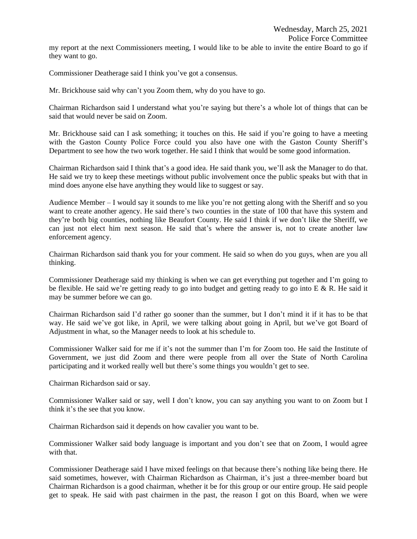my report at the next Commissioners meeting, I would like to be able to invite the entire Board to go if they want to go.

Commissioner Deatherage said I think you've got a consensus.

Mr. Brickhouse said why can't you Zoom them, why do you have to go.

Chairman Richardson said I understand what you're saying but there's a whole lot of things that can be said that would never be said on Zoom.

Mr. Brickhouse said can I ask something; it touches on this. He said if you're going to have a meeting with the Gaston County Police Force could you also have one with the Gaston County Sheriff's Department to see how the two work together. He said I think that would be some good information.

Chairman Richardson said I think that's a good idea. He said thank you, we'll ask the Manager to do that. He said we try to keep these meetings without public involvement once the public speaks but with that in mind does anyone else have anything they would like to suggest or say.

Audience Member – I would say it sounds to me like you're not getting along with the Sheriff and so you want to create another agency. He said there's two counties in the state of 100 that have this system and they're both big counties, nothing like Beaufort County. He said I think if we don't like the Sheriff, we can just not elect him next season. He said that's where the answer is, not to create another law enforcement agency.

Chairman Richardson said thank you for your comment. He said so when do you guys, when are you all thinking.

Commissioner Deatherage said my thinking is when we can get everything put together and I'm going to be flexible. He said we're getting ready to go into budget and getting ready to go into E & R. He said it may be summer before we can go.

Chairman Richardson said I'd rather go sooner than the summer, but I don't mind it if it has to be that way. He said we've got like, in April, we were talking about going in April, but we've got Board of Adjustment in what, so the Manager needs to look at his schedule to.

Commissioner Walker said for me if it's not the summer than I'm for Zoom too. He said the Institute of Government, we just did Zoom and there were people from all over the State of North Carolina participating and it worked really well but there's some things you wouldn't get to see.

Chairman Richardson said or say.

Commissioner Walker said or say, well I don't know, you can say anything you want to on Zoom but I think it's the see that you know.

Chairman Richardson said it depends on how cavalier you want to be.

Commissioner Walker said body language is important and you don't see that on Zoom, I would agree with that.

Commissioner Deatherage said I have mixed feelings on that because there's nothing like being there. He said sometimes, however, with Chairman Richardson as Chairman, it's just a three-member board but Chairman Richardson is a good chairman, whether it be for this group or our entire group. He said people get to speak. He said with past chairmen in the past, the reason I got on this Board, when we were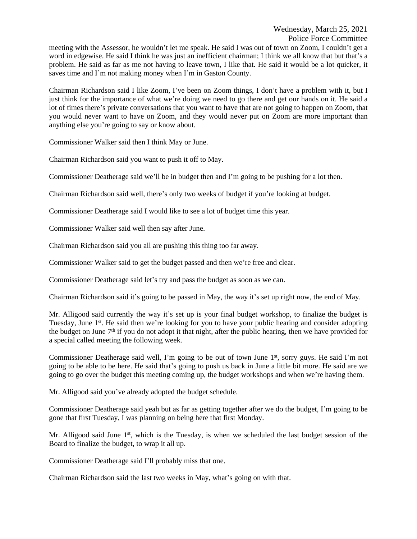meeting with the Assessor, he wouldn't let me speak. He said I was out of town on Zoom, I couldn't get a word in edgewise. He said I think he was just an inefficient chairman; I think we all know that but that's a problem. He said as far as me not having to leave town, I like that. He said it would be a lot quicker, it saves time and I'm not making money when I'm in Gaston County.

Chairman Richardson said I like Zoom, I've been on Zoom things, I don't have a problem with it, but I just think for the importance of what we're doing we need to go there and get our hands on it. He said a lot of times there's private conversations that you want to have that are not going to happen on Zoom, that you would never want to have on Zoom, and they would never put on Zoom are more important than anything else you're going to say or know about.

Commissioner Walker said then I think May or June.

Chairman Richardson said you want to push it off to May.

Commissioner Deatherage said we'll be in budget then and I'm going to be pushing for a lot then.

Chairman Richardson said well, there's only two weeks of budget if you're looking at budget.

Commissioner Deatherage said I would like to see a lot of budget time this year.

Commissioner Walker said well then say after June.

Chairman Richardson said you all are pushing this thing too far away.

Commissioner Walker said to get the budget passed and then we're free and clear.

Commissioner Deatherage said let's try and pass the budget as soon as we can.

Chairman Richardson said it's going to be passed in May, the way it's set up right now, the end of May.

Mr. Alligood said currently the way it's set up is your final budget workshop, to finalize the budget is Tuesday, June 1<sup>st</sup>. He said then we're looking for you to have your public hearing and consider adopting the budget on June  $7<sup>th</sup>$  if you do not adopt it that night, after the public hearing, then we have provided for a special called meeting the following week.

Commissioner Deatherage said well, I'm going to be out of town June 1<sup>st</sup>, sorry guys. He said I'm not going to be able to be here. He said that's going to push us back in June a little bit more. He said are we going to go over the budget this meeting coming up, the budget workshops and when we're having them.

Mr. Alligood said you've already adopted the budget schedule.

Commissioner Deatherage said yeah but as far as getting together after we do the budget, I'm going to be gone that first Tuesday, I was planning on being here that first Monday.

Mr. Alligood said June 1<sup>st</sup>, which is the Tuesday, is when we scheduled the last budget session of the Board to finalize the budget, to wrap it all up.

Commissioner Deatherage said I'll probably miss that one.

Chairman Richardson said the last two weeks in May, what's going on with that.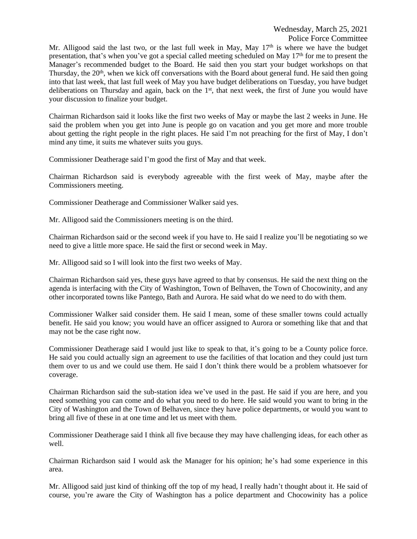Mr. Alligood said the last two, or the last full week in May, May  $17<sup>th</sup>$  is where we have the budget presentation, that's when you've got a special called meeting scheduled on May 17th for me to present the Manager's recommended budget to the Board. He said then you start your budget workshops on that Thursday, the 20<sup>th</sup>, when we kick off conversations with the Board about general fund. He said then going into that last week, that last full week of May you have budget deliberations on Tuesday, you have budget deliberations on Thursday and again, back on the 1<sup>st</sup>, that next week, the first of June you would have your discussion to finalize your budget.

Chairman Richardson said it looks like the first two weeks of May or maybe the last 2 weeks in June. He said the problem when you get into June is people go on vacation and you get more and more trouble about getting the right people in the right places. He said I'm not preaching for the first of May, I don't mind any time, it suits me whatever suits you guys.

Commissioner Deatherage said I'm good the first of May and that week.

Chairman Richardson said is everybody agreeable with the first week of May, maybe after the Commissioners meeting.

Commissioner Deatherage and Commissioner Walker said yes.

Mr. Alligood said the Commissioners meeting is on the third.

Chairman Richardson said or the second week if you have to. He said I realize you'll be negotiating so we need to give a little more space. He said the first or second week in May.

Mr. Alligood said so I will look into the first two weeks of May.

Chairman Richardson said yes, these guys have agreed to that by consensus. He said the next thing on the agenda is interfacing with the City of Washington, Town of Belhaven, the Town of Chocowinity, and any other incorporated towns like Pantego, Bath and Aurora. He said what do we need to do with them.

Commissioner Walker said consider them. He said I mean, some of these smaller towns could actually benefit. He said you know; you would have an officer assigned to Aurora or something like that and that may not be the case right now.

Commissioner Deatherage said I would just like to speak to that, it's going to be a County police force. He said you could actually sign an agreement to use the facilities of that location and they could just turn them over to us and we could use them. He said I don't think there would be a problem whatsoever for coverage.

Chairman Richardson said the sub-station idea we've used in the past. He said if you are here, and you need something you can come and do what you need to do here. He said would you want to bring in the City of Washington and the Town of Belhaven, since they have police departments, or would you want to bring all five of these in at one time and let us meet with them.

Commissioner Deatherage said I think all five because they may have challenging ideas, for each other as well.

Chairman Richardson said I would ask the Manager for his opinion; he's had some experience in this area.

Mr. Alligood said just kind of thinking off the top of my head, I really hadn't thought about it. He said of course, you're aware the City of Washington has a police department and Chocowinity has a police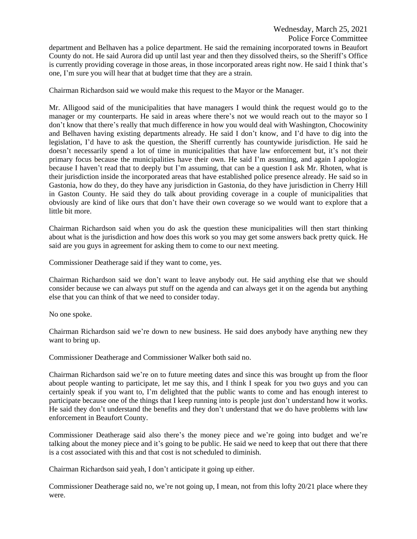Police Force Committee

department and Belhaven has a police department. He said the remaining incorporated towns in Beaufort County do not. He said Aurora did up until last year and then they dissolved theirs, so the Sheriff's Office is currently providing coverage in those areas, in those incorporated areas right now. He said I think that's one, I'm sure you will hear that at budget time that they are a strain.

Chairman Richardson said we would make this request to the Mayor or the Manager.

Mr. Alligood said of the municipalities that have managers I would think the request would go to the manager or my counterparts. He said in areas where there's not we would reach out to the mayor so I don't know that there's really that much difference in how you would deal with Washington, Chocowinity and Belhaven having existing departments already. He said I don't know, and I'd have to dig into the legislation, I'd have to ask the question, the Sheriff currently has countywide jurisdiction. He said he doesn't necessarily spend a lot of time in municipalities that have law enforcement but, it's not their primary focus because the municipalities have their own. He said I'm assuming, and again I apologize because I haven't read that to deeply but I'm assuming, that can be a question I ask Mr. Rhoten, what is their jurisdiction inside the incorporated areas that have established police presence already. He said so in Gastonia, how do they, do they have any jurisdiction in Gastonia, do they have jurisdiction in Cherry Hill in Gaston County. He said they do talk about providing coverage in a couple of municipalities that obviously are kind of like ours that don't have their own coverage so we would want to explore that a little bit more.

Chairman Richardson said when you do ask the question these municipalities will then start thinking about what is the jurisdiction and how does this work so you may get some answers back pretty quick. He said are you guys in agreement for asking them to come to our next meeting.

Commissioner Deatherage said if they want to come, yes.

Chairman Richardson said we don't want to leave anybody out. He said anything else that we should consider because we can always put stuff on the agenda and can always get it on the agenda but anything else that you can think of that we need to consider today.

No one spoke.

Chairman Richardson said we're down to new business. He said does anybody have anything new they want to bring up.

Commissioner Deatherage and Commissioner Walker both said no.

Chairman Richardson said we're on to future meeting dates and since this was brought up from the floor about people wanting to participate, let me say this, and I think I speak for you two guys and you can certainly speak if you want to, I'm delighted that the public wants to come and has enough interest to participate because one of the things that I keep running into is people just don't understand how it works. He said they don't understand the benefits and they don't understand that we do have problems with law enforcement in Beaufort County.

Commissioner Deatherage said also there's the money piece and we're going into budget and we're talking about the money piece and it's going to be public. He said we need to keep that out there that there is a cost associated with this and that cost is not scheduled to diminish.

Chairman Richardson said yeah, I don't anticipate it going up either.

Commissioner Deatherage said no, we're not going up, I mean, not from this lofty 20/21 place where they were.